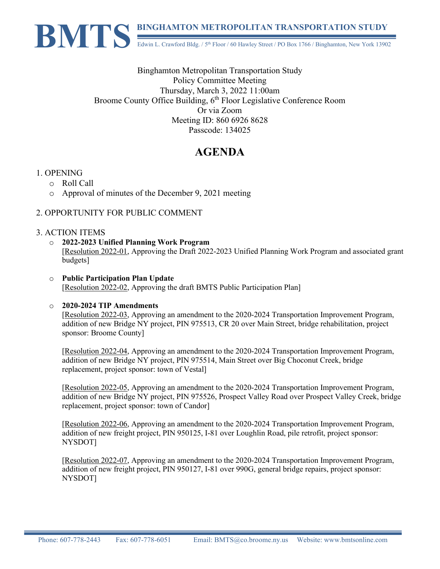

Binghamton Metropolitan Transportation Study Policy Committee Meeting Thursday, March 3, 2022 11:00am Broome County Office Building, 6<sup>th</sup> Floor Legislative Conference Room Or via Zoom Meeting ID: 860 6926 8628 Passcode: 134025

# **AGENDA**

### 1. OPENING

- o Roll Call
- o Approval of minutes of the December 9, 2021 meeting

### 2. OPPORTUNITY FOR PUBLIC COMMENT

### 3. ACTION ITEMS

- o **2022-2023 Unified Planning Work Program** [Resolution 2022-01, Approving the Draft 2022-2023 Unified Planning Work Program and associated grant budgets]
- o **Public Participation Plan Update** [Resolution 2022-02, Approving the draft BMTS Public Participation Plan]

#### o **2020-2024 TIP Amendments**

[Resolution 2022-03, Approving an amendment to the 2020-2024 Transportation Improvement Program, addition of new Bridge NY project, PIN 975513, CR 20 over Main Street, bridge rehabilitation, project sponsor: Broome County]

[Resolution 2022-04, Approving an amendment to the 2020-2024 Transportation Improvement Program, addition of new Bridge NY project, PIN 975514, Main Street over Big Choconut Creek, bridge replacement, project sponsor: town of Vestal]

[Resolution 2022-05, Approving an amendment to the 2020-2024 Transportation Improvement Program, addition of new Bridge NY project, PIN 975526, Prospect Valley Road over Prospect Valley Creek, bridge replacement, project sponsor: town of Candor]

[Resolution 2022-06, Approving an amendment to the 2020-2024 Transportation Improvement Program, addition of new freight project, PIN 950125, I-81 over Loughlin Road, pile retrofit, project sponsor: NYSDOT]

[Resolution 2022-07, Approving an amendment to the 2020-2024 Transportation Improvement Program, addition of new freight project, PIN 950127, I-81 over 990G, general bridge repairs, project sponsor: NYSDOT]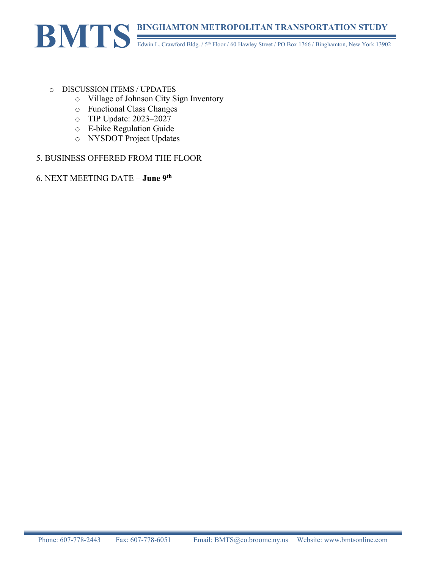## **BINGHAMTON METROPOLITAN TRANSPORTATION STUDY** Edwin L. Crawford Bldg. / 5<sup>th</sup> Floor / 60 Hawley Street / PO Box 1766 / Binghamton, New York 13902 **BMTS**

#### o DISCUSSION ITEMS / UPDATES

- o Village of Johnson City Sign Inventory
- o Functional Class Changes
- o TIP Update: 2023–2027
- o E-bike Regulation Guide
- o NYSDOT Project Updates

### 5. BUSINESS OFFERED FROM THE FLOOR

### 6. NEXT MEETING DATE – **June 9th**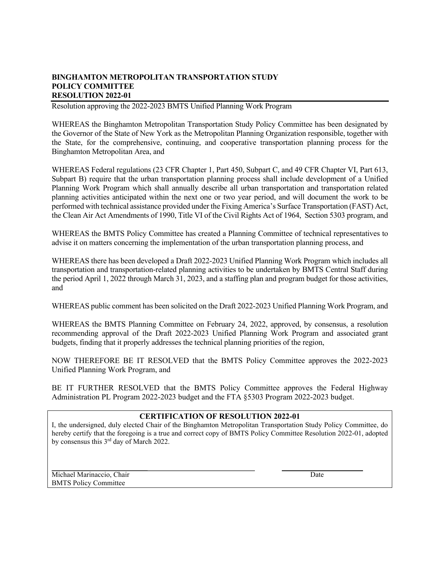Resolution approving the 2022-2023 BMTS Unified Planning Work Program

WHEREAS the Binghamton Metropolitan Transportation Study Policy Committee has been designated by the Governor of the State of New York as the Metropolitan Planning Organization responsible, together with the State, for the comprehensive, continuing, and cooperative transportation planning process for the Binghamton Metropolitan Area, and

WHEREAS Federal regulations (23 CFR Chapter 1, Part 450, Subpart C, and 49 CFR Chapter VI, Part 613, Subpart B) require that the urban transportation planning process shall include development of a Unified Planning Work Program which shall annually describe all urban transportation and transportation related planning activities anticipated within the next one or two year period, and will document the work to be performed with technical assistance provided under the Fixing America's Surface Transportation (FAST) Act, the Clean Air Act Amendments of 1990, Title VI of the Civil Rights Act of 1964, Section 5303 program, and

WHEREAS the BMTS Policy Committee has created a Planning Committee of technical representatives to advise it on matters concerning the implementation of the urban transportation planning process, and

WHEREAS there has been developed a Draft 2022-2023 Unified Planning Work Program which includes all transportation and transportation-related planning activities to be undertaken by BMTS Central Staff during the period April 1, 2022 through March 31, 2023, and a staffing plan and program budget for those activities, and

WHEREAS public comment has been solicited on the Draft 2022-2023 Unified Planning Work Program, and

WHEREAS the BMTS Planning Committee on February 24, 2022, approved, by consensus, a resolution recommending approval of the Draft 2022-2023 Unified Planning Work Program and associated grant budgets, finding that it properly addresses the technical planning priorities of the region,

NOW THEREFORE BE IT RESOLVED that the BMTS Policy Committee approves the 2022-2023 Unified Planning Work Program, and

BE IT FURTHER RESOLVED that the BMTS Policy Committee approves the Federal Highway Administration PL Program 2022-2023 budget and the FTA §5303 Program 2022-2023 budget.

#### **CERTIFICATION OF RESOLUTION 2022-01**

I, the undersigned, duly elected Chair of the Binghamton Metropolitan Transportation Study Policy Committee, do hereby certify that the foregoing is a true and correct copy of BMTS Policy Committee Resolution 2022-01, adopted by consensus this 3rd day of March 2022.

Michael Marinaccio, Chair **Date** Date **Date** Date **Date** Date **Date** BMTS Policy Committee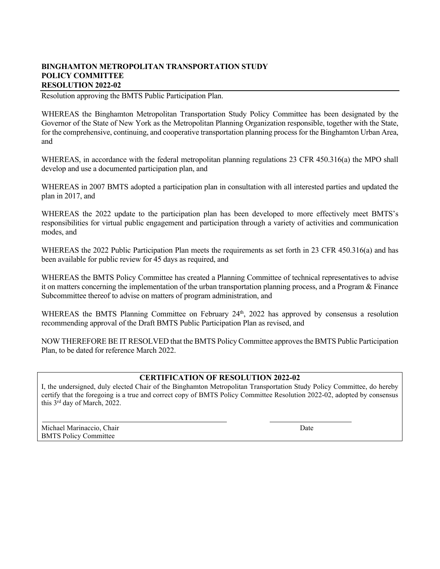Resolution approving the BMTS Public Participation Plan.

WHEREAS the Binghamton Metropolitan Transportation Study Policy Committee has been designated by the Governor of the State of New York as the Metropolitan Planning Organization responsible, together with the State, for the comprehensive, continuing, and cooperative transportation planning process for the Binghamton Urban Area, and

WHEREAS, in accordance with the federal metropolitan planning regulations 23 CFR 450.316(a) the MPO shall develop and use a documented participation plan, and

WHEREAS in 2007 BMTS adopted a participation plan in consultation with all interested parties and updated the plan in 2017, and

WHEREAS the 2022 update to the participation plan has been developed to more effectively meet BMTS's responsibilities for virtual public engagement and participation through a variety of activities and communication modes, and

WHEREAS the 2022 Public Participation Plan meets the requirements as set forth in 23 CFR 450.316(a) and has been available for public review for 45 days as required, and

WHEREAS the BMTS Policy Committee has created a Planning Committee of technical representatives to advise it on matters concerning the implementation of the urban transportation planning process, and a Program & Finance Subcommittee thereof to advise on matters of program administration, and

WHEREAS the BMTS Planning Committee on February 24<sup>th</sup>, 2022 has approved by consensus a resolution recommending approval of the Draft BMTS Public Participation Plan as revised, and

NOW THEREFORE BE IT RESOLVED that the BMTS Policy Committee approves the BMTS Public Participation Plan, to be dated for reference March 2022.

#### **CERTIFICATION OF RESOLUTION 2022-02**

I, the undersigned, duly elected Chair of the Binghamton Metropolitan Transportation Study Policy Committee, do hereby certify that the foregoing is a true and correct copy of BMTS Policy Committee Resolution 2022-02, adopted by consensus this 3rd day of March, 2022.

Michael Marinaccio, Chair **Date** and *Chair* Date and *Date* and *Date* and *Date* and *Date* and *Date* and *Date* and *Date* and *Date* and *Date* and *Date* and *Date* and *Date* and *Date* and *Date* and *Date* and *Da* BMTS Policy Committee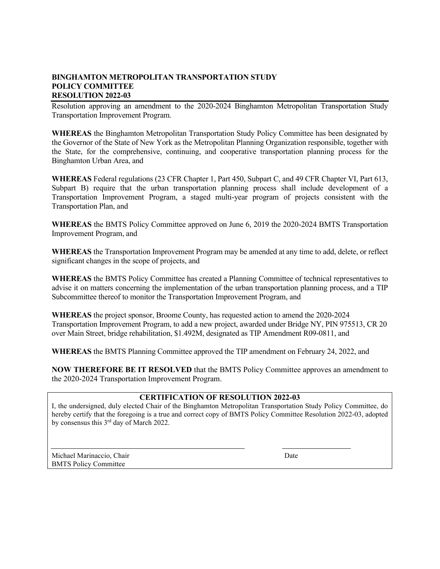Resolution approving an amendment to the 2020-2024 Binghamton Metropolitan Transportation Study Transportation Improvement Program.

**WHEREAS** the Binghamton Metropolitan Transportation Study Policy Committee has been designated by the Governor of the State of New York as the Metropolitan Planning Organization responsible, together with the State, for the comprehensive, continuing, and cooperative transportation planning process for the Binghamton Urban Area, and

**WHEREAS** Federal regulations (23 CFR Chapter 1, Part 450, Subpart C, and 49 CFR Chapter VI, Part 613, Subpart B) require that the urban transportation planning process shall include development of a Transportation Improvement Program, a staged multi-year program of projects consistent with the Transportation Plan, and

**WHEREAS** the BMTS Policy Committee approved on June 6, 2019 the 2020-2024 BMTS Transportation Improvement Program, and

**WHEREAS** the Transportation Improvement Program may be amended at any time to add, delete, or reflect significant changes in the scope of projects, and

**WHEREAS** the BMTS Policy Committee has created a Planning Committee of technical representatives to advise it on matters concerning the implementation of the urban transportation planning process, and a TIP Subcommittee thereof to monitor the Transportation Improvement Program, and

**WHEREAS** the project sponsor, Broome County, has requested action to amend the 2020-2024 Transportation Improvement Program, to add a new project, awarded under Bridge NY, PIN 975513, CR 20 over Main Street, bridge rehabilitation, \$1.492M, designated as TIP Amendment R09-0811, and

**WHEREAS** the BMTS Planning Committee approved the TIP amendment on February 24, 2022, and

**NOW THEREFORE BE IT RESOLVED** that the BMTS Policy Committee approves an amendment to the 2020-2024 Transportation Improvement Program.

#### **CERTIFICATION OF RESOLUTION 2022-03**

I, the undersigned, duly elected Chair of the Binghamton Metropolitan Transportation Study Policy Committee, do hereby certify that the foregoing is a true and correct copy of BMTS Policy Committee Resolution 2022-03, adopted by consensus this 3rd day of March 2022.

Michael Marinaccio, Chair **Date** Date **Date** Date **Date** BMTS Policy Committee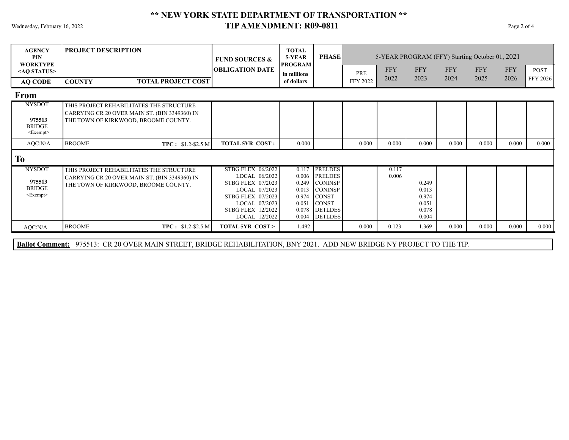### Wednesday, February 16, 2022 **Page 2 of 4 TIP AMENDMENT: R09-0811** Page 2 of 4 **\*\* NEW YORK STATE DEPARTMENT OF TRANSPORTATION \*\***

| <b>AGENCY</b><br><b>PIN</b><br><b>WORKTYPE</b>                     | <b>PROJECT DESCRIPTION</b>                                                                                                        | <b>FUND SOURCES &amp;</b><br><b>OBLIGATION DATE</b>                                                  | <b>TOTAL</b><br>5-YEAR<br><b>PROGRAM</b> | <b>PHASE</b>                                                                           |                        | <b>FFY</b>     | <b>FFY</b>              | 5-YEAR PROGRAM (FFY) Starting October 01, 2021<br><b>FFY</b> | <b>FFY</b> | <b>FFY</b> | <b>POST</b> |
|--------------------------------------------------------------------|-----------------------------------------------------------------------------------------------------------------------------------|------------------------------------------------------------------------------------------------------|------------------------------------------|----------------------------------------------------------------------------------------|------------------------|----------------|-------------------------|--------------------------------------------------------------|------------|------------|-------------|
| <ao status=""><br/><b>AQ CODE</b></ao>                             | <b>TOTAL PROJECT COST</b><br><b>COUNTY</b>                                                                                        |                                                                                                      | in millions<br>of dollars                |                                                                                        | PRE<br><b>FFY 2022</b> | 2022           | 2023                    | 2024                                                         | 2025       | 2026       | FFY 2026    |
| <b>From</b>                                                        |                                                                                                                                   |                                                                                                      |                                          |                                                                                        |                        |                |                         |                                                              |            |            |             |
| <b>NYSDOT</b><br>975513<br><b>BRIDGE</b><br>$<\xEpsilon$ xempt $>$ | THIS PROJECT REHABILITATES THE STRUCTURE<br>CARRYING CR 20 OVER MAIN ST. (BIN 3349360) IN<br>THE TOWN OF KIRKWOOD, BROOME COUNTY. |                                                                                                      |                                          |                                                                                        |                        |                |                         |                                                              |            |            |             |
| AQC:N/A                                                            | <b>BROOME</b><br>$TPC: $1.2-$2.5 M$                                                                                               | <b>TOTAL 5YR COST:</b>                                                                               | 0.000                                    |                                                                                        | 0.000                  | 0.000          | 0.000                   | 0.000                                                        | 0.000      | 0.000      | 0.000       |
| <b>To</b>                                                          |                                                                                                                                   |                                                                                                      |                                          |                                                                                        |                        |                |                         |                                                              |            |            |             |
| <b>NYSDOT</b><br>975513<br><b>BRIDGE</b><br>$\leq$ Exempt $>$      | THIS PROJECT REHABILITATES THE STRUCTURE<br>CARRYING CR 20 OVER MAIN ST. (BIN 3349360) IN<br>THE TOWN OF KIRKWOOD, BROOME COUNTY. | STBG FLEX 06/2022<br>LOCAL 06/2022<br><b>STBG FLEX 07/2023</b><br>LOCAL 07/2023<br>STBG FLEX 07/2023 | 0.117<br>0.006<br>0.249                  | <b>PRELDES</b><br><b>PRELDES</b><br><b>CONINSP</b><br>$0.013$ CONINSP<br>$0.974$ CONST |                        | 0.117<br>0.006 | 0.249<br>0.013<br>0.974 |                                                              |            |            |             |

|         |               |                    | LOCAL 07/2023                      | 0.051 | <b>CONST</b>                       |       |       | 0.051          |       |       |       |       |
|---------|---------------|--------------------|------------------------------------|-------|------------------------------------|-------|-------|----------------|-------|-------|-------|-------|
|         |               |                    | STBG FLEX 12/2022<br>LOCAL 12/2022 |       | $0.078$ DETLDES<br>$0.004$ DETLDES |       |       | 0.078<br>0.004 |       |       |       |       |
|         |               |                    |                                    |       |                                    |       |       |                |       |       |       |       |
| AOC:N/A | <b>BROOME</b> | $TPC: $1.2-$2.5 M$ | <b>TOTAL 5YR COST &gt;</b>         | 1.492 |                                    | 0.000 | 0.123 | .369           | 0.000 | 0.000 | 0.000 | 0.000 |
|         |               |                    |                                    |       |                                    |       |       |                |       |       |       |       |

**Ballot Comment:** 975513: CR 20 OVER MAIN STREET, BRIDGE REHABILITATION, BNY 2021. ADD NEW BRIDGE NY PROJECT TO THE TIP.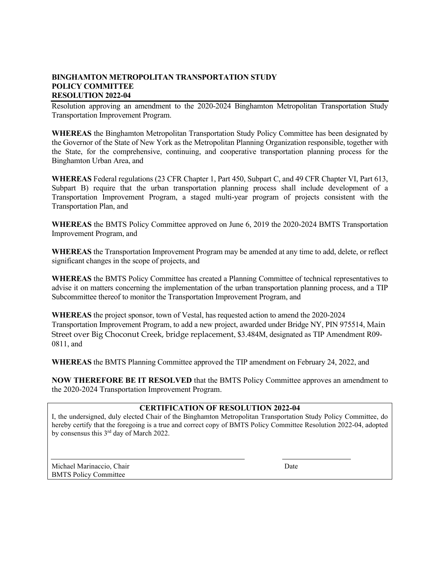Resolution approving an amendment to the 2020-2024 Binghamton Metropolitan Transportation Study Transportation Improvement Program.

**WHEREAS** the Binghamton Metropolitan Transportation Study Policy Committee has been designated by the Governor of the State of New York as the Metropolitan Planning Organization responsible, together with the State, for the comprehensive, continuing, and cooperative transportation planning process for the Binghamton Urban Area, and

**WHEREAS** Federal regulations (23 CFR Chapter 1, Part 450, Subpart C, and 49 CFR Chapter VI, Part 613, Subpart B) require that the urban transportation planning process shall include development of a Transportation Improvement Program, a staged multi-year program of projects consistent with the Transportation Plan, and

**WHEREAS** the BMTS Policy Committee approved on June 6, 2019 the 2020-2024 BMTS Transportation Improvement Program, and

**WHEREAS** the Transportation Improvement Program may be amended at any time to add, delete, or reflect significant changes in the scope of projects, and

**WHEREAS** the BMTS Policy Committee has created a Planning Committee of technical representatives to advise it on matters concerning the implementation of the urban transportation planning process, and a TIP Subcommittee thereof to monitor the Transportation Improvement Program, and

**WHEREAS** the project sponsor, town of Vestal, has requested action to amend the 2020-2024 Transportation Improvement Program, to add a new project, awarded under Bridge NY, PIN 975514, Main Street over Big Choconut Creek, bridge replacement, \$3.484M, designated as TIP Amendment R09- 0811, and

**WHEREAS** the BMTS Planning Committee approved the TIP amendment on February 24, 2022, and

**NOW THEREFORE BE IT RESOLVED** that the BMTS Policy Committee approves an amendment to the 2020-2024 Transportation Improvement Program.

#### **CERTIFICATION OF RESOLUTION 2022-04**

I, the undersigned, duly elected Chair of the Binghamton Metropolitan Transportation Study Policy Committee, do hereby certify that the foregoing is a true and correct copy of BMTS Policy Committee Resolution 2022-04, adopted by consensus this 3rd day of March 2022.

Michael Marinaccio, Chair Date BMTS Policy Committee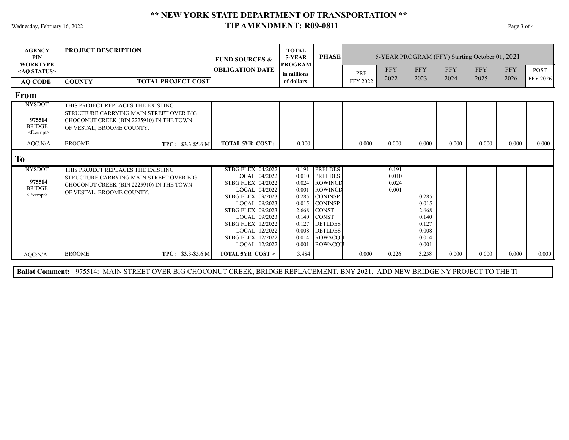### Wednesday, February 16, 2022 **Page 3 of 4 TIP AMENDMENT: R09-0811** Page 3 of 4 **\*\* NEW YORK STATE DEPARTMENT OF TRANSPORTATION \*\***

| <b>AGENCY</b><br><b>PIN</b><br><b>WORKTYPE</b>             | <b>PROJECT DESCRIPTION</b>                                                                                                                             | <b>FUND SOURCES &amp;</b>                                                                                                                                                                                                                                                  | <b>TOTAL</b><br>5-YEAR<br><b>PROGRAM</b>                                                                 | <b>PHASE</b>                                                                                                                                                                         |                 |                                  |                                                                      | 5-YEAR PROGRAM (FFY) Starting October 01, 2021 |            |            |             |  |
|------------------------------------------------------------|--------------------------------------------------------------------------------------------------------------------------------------------------------|----------------------------------------------------------------------------------------------------------------------------------------------------------------------------------------------------------------------------------------------------------------------------|----------------------------------------------------------------------------------------------------------|--------------------------------------------------------------------------------------------------------------------------------------------------------------------------------------|-----------------|----------------------------------|----------------------------------------------------------------------|------------------------------------------------|------------|------------|-------------|--|
| <ao status=""></ao>                                        |                                                                                                                                                        | <b>OBLIGATION DATE</b>                                                                                                                                                                                                                                                     | in millions                                                                                              |                                                                                                                                                                                      | PRE             | <b>FFY</b>                       | <b>FFY</b>                                                           | <b>FFY</b>                                     | <b>FFY</b> | <b>FFY</b> | <b>POST</b> |  |
| <b>AQ CODE</b>                                             | <b>TOTAL PROJECT COST</b><br><b>COUNTY</b>                                                                                                             |                                                                                                                                                                                                                                                                            | of dollars                                                                                               |                                                                                                                                                                                      | <b>FFY 2022</b> | 2022                             | 2023                                                                 | 2024                                           | 2025       | 2026       | FFY 2026    |  |
| From                                                       |                                                                                                                                                        |                                                                                                                                                                                                                                                                            |                                                                                                          |                                                                                                                                                                                      |                 |                                  |                                                                      |                                                |            |            |             |  |
| <b>NYSDOT</b><br>975514<br><b>BRIDGE</b><br>$<$ Exempt $>$ | THIS PROJECT REPLACES THE EXISTING<br>STRUCTURE CARRYING MAIN STREET OVER BIG<br>CHOCONUT CREEK (BIN 2225910) IN THE TOWN<br>OF VESTAL, BROOME COUNTY. |                                                                                                                                                                                                                                                                            |                                                                                                          |                                                                                                                                                                                      |                 |                                  |                                                                      |                                                |            |            |             |  |
| AQC:N/A                                                    | <b>BROOME</b><br>TPC: \$3.3-\$5.6 M                                                                                                                    | <b>TOTAL 5YR COST:</b>                                                                                                                                                                                                                                                     | 0.000                                                                                                    |                                                                                                                                                                                      | 0.000           | 0.000                            | 0.000                                                                | 0.000                                          | 0.000      | 0.000      | 0.000       |  |
| To                                                         |                                                                                                                                                        |                                                                                                                                                                                                                                                                            |                                                                                                          |                                                                                                                                                                                      |                 |                                  |                                                                      |                                                |            |            |             |  |
| <b>NYSDOT</b><br>975514<br><b>BRIDGE</b><br>$<$ Exempt $>$ | THIS PROJECT REPLACES THE EXISTING<br>STRUCTURE CARRYING MAIN STREET OVER BIG<br>CHOCONUT CREEK (BIN 2225910) IN THE TOWN<br>OF VESTAL, BROOME COUNTY. | <b>STBG FLEX 04/2022</b><br>LOCAL 04/2022<br><b>STBG FLEX 04/2022</b><br>LOCAL 04/2022<br><b>STBG FLEX 09/2023</b><br>LOCAL 09/2023<br><b>STBG FLEX 09/2023</b><br>LOCAL 09/2023<br><b>STBG FLEX 12/2022</b><br>LOCAL 12/2022<br><b>STBG FLEX 12/2022</b><br>LOCAL 12/2022 | 0.191<br>0.010<br>0.024<br>0.001<br>0.285<br>0.015<br>2.668<br>0.140<br>0.127<br>0.008<br>0.014<br>0.001 | <b>PRELDES</b><br><b>PRELDES</b><br>ROWINCD<br>ROWINCD<br><b>CONINSP</b><br><b>CONINSP</b><br><b>CONST</b><br><b>CONST</b><br><b>DETLDES</b><br><b>DETLDES</b><br>ROWACOU<br>ROWACQU |                 | 0.191<br>0.010<br>0.024<br>0.001 | 0.285<br>0.015<br>2.668<br>0.140<br>0.127<br>0.008<br>0.014<br>0.001 |                                                |            |            |             |  |
| AOC:N/A                                                    | <b>BROOME</b><br>$TPC: $3.3-$5.6 M$                                                                                                                    | <b>TOTAL 5YR COST &gt;</b>                                                                                                                                                                                                                                                 | 3.484                                                                                                    |                                                                                                                                                                                      | 0.000           | 0.226                            | 3.258                                                                | 0.000                                          | 0.000      | 0.000      | 0.000       |  |

Ballot Comment: 975514: MAIN STREET OVER BIG CHOCONUT CREEK, BRIDGE REPLACEMENT, BNY 2021. ADD NEW BRIDGE NY PROJECT TO THE TI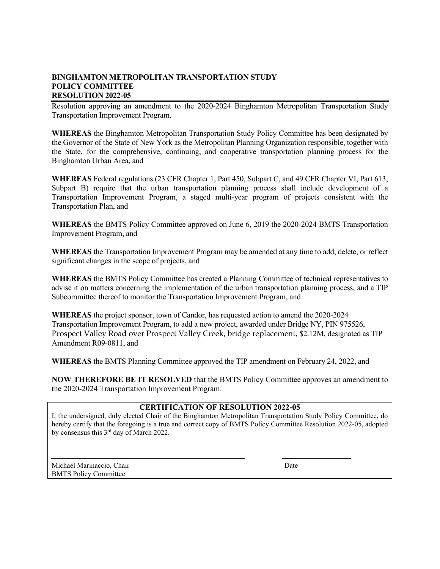Resolution approving an amendment to the 2020-2024 Binghamton Metropolitan Transportation Study Transportation Improvement Program.

**WHEREAS** the Binghamton Metropolitan Transportation Study Policy Committee has been designated by the Governor of the State of New York as the Metropolitan Planning Organization responsible, together with the State, for the comprehensive, continuing, and cooperative transportation planning process for the Binghamton Urban Area, and

**WHEREAS** Federal regulations (23 CFR Chapter 1, Part 450, Subpart C, and 49 CFR Chapter VI, Part 613, Subpart B) require that the urban transportation planning process shall include development of a Transportation Improvement Program, a staged multi-year program of projects consistent with the Transportation Plan, and

**WHEREAS** the BMTS Policy Committee approved on June 6, 2019 the 2020-2024 BMTS Transportation Improvement Program, and

**WHEREAS** the Transportation Improvement Program may be amended at any time to add, delete, or reflect significant changes in the scope of projects, and

**WHEREAS** the BMTS Policy Committee has created a Planning Committee of technical representatives to advise it on matters concerning the implementation of the urban transportation planning process, and a TIP Subcommittee thereof to monitor the Transportation Improvement Program, and

**WHEREAS** the project sponsor, town of Candor, has requested action to amend the 2020-2024 Transportation Improvement Program, to add a new project, awarded under Bridge NY, PIN 975526, Prospect Valley Road over Prospect Valley Creek, bridge replacement, \$2.12M, designated as TIP Amendment R09-0811, and

**WHEREAS** the BMTS Planning Committee approved the TIP amendment on February 24, 2022, and

**NOW THEREFORE BE IT RESOLVED** that the BMTS Policy Committee approves an amendment to the 2020-2024 Transportation Improvement Program.

#### **CERTIFICATION OF RESOLUTION 2022-05**

I, the undersigned, duly elected Chair of the Binghamton Metropolitan Transportation Study Policy Committee, do hereby certify that the foregoing is a true and correct copy of BMTS Policy Committee Resolution 2022-05, adopted by consensus this 3rd day of March 2022.

Michael Marinaccio, Chair **Date** Date **Date** Date **Date** BMTS Policy Committee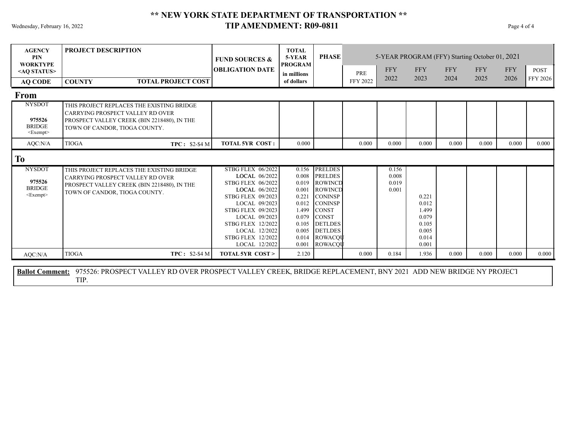### Wednesday, February 16, 2022 **Page 4 of 4 TIP AMENDMENT: R09-0811** Page 4 of 4 **\*\* NEW YORK STATE DEPARTMENT OF TRANSPORTATION \*\***

| <b>AGENCY</b><br><b>PIN</b><br><b>WORKTYPE</b>             | <b>PROJECT DESCRIPTION</b>                                                                                                                                    | <b>FUND SOURCES &amp;</b>                                                                                                                                                                                                                                                  | <b>TOTAL</b><br>5-YEAR<br><b>PROGRAM</b>                                                                 | <b>PHASE</b>                                                                                                                                                                         | 5-YEAR PROGRAM (FFY) Starting October 01, 2021 |                                  |                                                                      |            |            |            |             |  |  |
|------------------------------------------------------------|---------------------------------------------------------------------------------------------------------------------------------------------------------------|----------------------------------------------------------------------------------------------------------------------------------------------------------------------------------------------------------------------------------------------------------------------------|----------------------------------------------------------------------------------------------------------|--------------------------------------------------------------------------------------------------------------------------------------------------------------------------------------|------------------------------------------------|----------------------------------|----------------------------------------------------------------------|------------|------------|------------|-------------|--|--|
| <ao status=""></ao>                                        |                                                                                                                                                               | <b>OBLIGATION DATE</b>                                                                                                                                                                                                                                                     | in millions                                                                                              |                                                                                                                                                                                      | PRE                                            | <b>FFY</b>                       | <b>FFY</b>                                                           | <b>FFY</b> | <b>FFY</b> | <b>FFY</b> | <b>POST</b> |  |  |
| <b>AQ CODE</b>                                             | <b>TOTAL PROJECT COST</b><br><b>COUNTY</b>                                                                                                                    |                                                                                                                                                                                                                                                                            | of dollars                                                                                               |                                                                                                                                                                                      | <b>FFY 2022</b>                                | 2022                             | 2023                                                                 | 2024       | 2025       | 2026       | FFY 2026    |  |  |
| <b>From</b>                                                |                                                                                                                                                               |                                                                                                                                                                                                                                                                            |                                                                                                          |                                                                                                                                                                                      |                                                |                                  |                                                                      |            |            |            |             |  |  |
| <b>NYSDOT</b><br>975526<br><b>BRIDGE</b><br>$<$ Exempt $>$ | THIS PROJECT REPLACES THE EXISTING BRIDGE<br>CARRYING PROSPECT VALLEY RD OVER<br>PROSPECT VALLEY CREEK (BIN 2218480), IN THE<br>TOWN OF CANDOR, TIOGA COUNTY. |                                                                                                                                                                                                                                                                            |                                                                                                          |                                                                                                                                                                                      |                                                |                                  |                                                                      |            |            |            |             |  |  |
| AOC:N/A                                                    | <b>TIOGA</b><br>$TPC: $2-$4 M$                                                                                                                                | <b>TOTAL 5YR COST:</b>                                                                                                                                                                                                                                                     | 0.000                                                                                                    |                                                                                                                                                                                      | 0.000                                          | 0.000                            | 0.000                                                                | 0.000      | 0.000      | 0.000      | 0.000       |  |  |
| <b>To</b>                                                  |                                                                                                                                                               |                                                                                                                                                                                                                                                                            |                                                                                                          |                                                                                                                                                                                      |                                                |                                  |                                                                      |            |            |            |             |  |  |
| <b>NYSDOT</b><br>975526<br><b>BRIDGE</b><br>$<$ Exempt $>$ | THIS PROJECT REPLACES THE EXISTING BRIDGE<br>CARRYING PROSPECT VALLEY RD OVER<br>PROSPECT VALLEY CREEK (BIN 2218480), IN THE<br>TOWN OF CANDOR, TIOGA COUNTY. | <b>STBG FLEX 06/2022</b><br>LOCAL 06/2022<br><b>STBG FLEX 06/2022</b><br>LOCAL 06/2022<br><b>STBG FLEX 09/2023</b><br>LOCAL 09/2023<br><b>STBG FLEX 09/2023</b><br>LOCAL 09/2023<br><b>STBG FLEX 12/2022</b><br>LOCAL 12/2022<br><b>STBG FLEX 12/2022</b><br>LOCAL 12/2022 | 0.156<br>0.008<br>0.019<br>0.001<br>0.221<br>0.012<br>1.499<br>0.079<br>0.105<br>0.005<br>0.014<br>0.001 | <b>PRELDES</b><br><b>PRELDES</b><br>ROWINCD<br>ROWINCD<br><b>CONINSP</b><br><b>CONINSP</b><br><b>CONST</b><br><b>CONST</b><br><b>DETLDES</b><br><b>DETLDES</b><br>ROWACOU<br>ROWACQU |                                                | 0.156<br>0.008<br>0.019<br>0.001 | 0.221<br>0.012<br>1.499<br>0.079<br>0.105<br>0.005<br>0.014<br>0.001 |            |            |            |             |  |  |
| AQC:N/A                                                    | <b>TIOGA</b><br>$TPC: $2-$4 M$                                                                                                                                | <b>TOTAL 5YR COST &gt;</b>                                                                                                                                                                                                                                                 | 2.120                                                                                                    |                                                                                                                                                                                      | 0.000                                          | 0.184                            | 1.936                                                                | 0.000      | 0.000      | 0.000      | 0.000       |  |  |

975526: PROSPECT VALLEY RD OVER PROSPECT VALLEY CREEK, BRIDGE REPLACEMENT, BNY 2021 ADD NEW BRIDGE NY PROJECT TIP. **Ballot Comment:**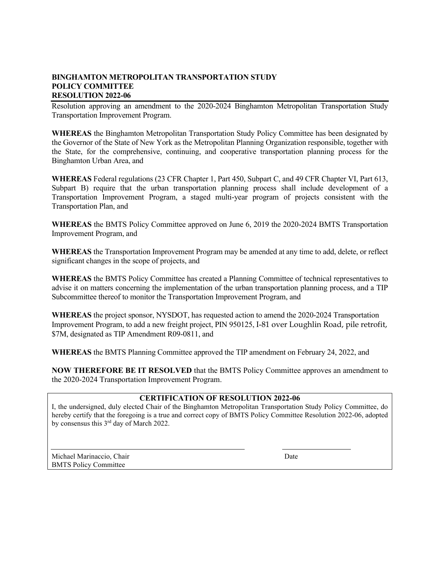Resolution approving an amendment to the 2020-2024 Binghamton Metropolitan Transportation Study Transportation Improvement Program.

**WHEREAS** the Binghamton Metropolitan Transportation Study Policy Committee has been designated by the Governor of the State of New York as the Metropolitan Planning Organization responsible, together with the State, for the comprehensive, continuing, and cooperative transportation planning process for the Binghamton Urban Area, and

**WHEREAS** Federal regulations (23 CFR Chapter 1, Part 450, Subpart C, and 49 CFR Chapter VI, Part 613, Subpart B) require that the urban transportation planning process shall include development of a Transportation Improvement Program, a staged multi-year program of projects consistent with the Transportation Plan, and

**WHEREAS** the BMTS Policy Committee approved on June 6, 2019 the 2020-2024 BMTS Transportation Improvement Program, and

**WHEREAS** the Transportation Improvement Program may be amended at any time to add, delete, or reflect significant changes in the scope of projects, and

**WHEREAS** the BMTS Policy Committee has created a Planning Committee of technical representatives to advise it on matters concerning the implementation of the urban transportation planning process, and a TIP Subcommittee thereof to monitor the Transportation Improvement Program, and

**WHEREAS** the project sponsor, NYSDOT, has requested action to amend the 2020-2024 Transportation Improvement Program, to add a new freight project, PIN 950125, I-81 over Loughlin Road, pile retrofit, \$7M, designated as TIP Amendment R09-0811, and

**WHEREAS** the BMTS Planning Committee approved the TIP amendment on February 24, 2022, and

**NOW THEREFORE BE IT RESOLVED** that the BMTS Policy Committee approves an amendment to the 2020-2024 Transportation Improvement Program.

#### **CERTIFICATION OF RESOLUTION 2022-06**

I, the undersigned, duly elected Chair of the Binghamton Metropolitan Transportation Study Policy Committee, do hereby certify that the foregoing is a true and correct copy of BMTS Policy Committee Resolution 2022-06, adopted by consensus this 3rd day of March 2022.

Michael Marinaccio, Chair Date BMTS Policy Committee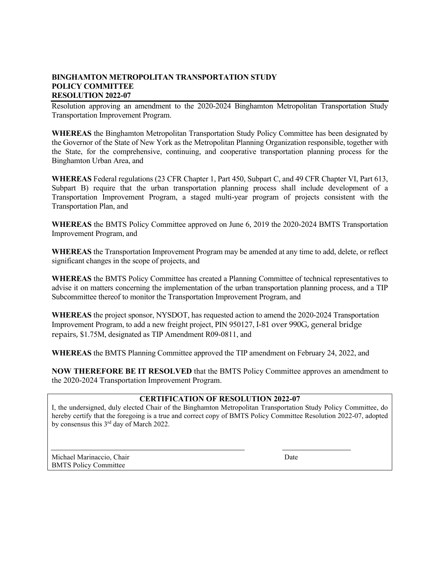Resolution approving an amendment to the 2020-2024 Binghamton Metropolitan Transportation Study Transportation Improvement Program.

**WHEREAS** the Binghamton Metropolitan Transportation Study Policy Committee has been designated by the Governor of the State of New York as the Metropolitan Planning Organization responsible, together with the State, for the comprehensive, continuing, and cooperative transportation planning process for the Binghamton Urban Area, and

**WHEREAS** Federal regulations (23 CFR Chapter 1, Part 450, Subpart C, and 49 CFR Chapter VI, Part 613, Subpart B) require that the urban transportation planning process shall include development of a Transportation Improvement Program, a staged multi-year program of projects consistent with the Transportation Plan, and

**WHEREAS** the BMTS Policy Committee approved on June 6, 2019 the 2020-2024 BMTS Transportation Improvement Program, and

**WHEREAS** the Transportation Improvement Program may be amended at any time to add, delete, or reflect significant changes in the scope of projects, and

**WHEREAS** the BMTS Policy Committee has created a Planning Committee of technical representatives to advise it on matters concerning the implementation of the urban transportation planning process, and a TIP Subcommittee thereof to monitor the Transportation Improvement Program, and

**WHEREAS** the project sponsor, NYSDOT, has requested action to amend the 2020-2024 Transportation Improvement Program, to add a new freight project, PIN 950127, I-81 over 990G, general bridge repairs, \$1.75M, designated as TIP Amendment R09-0811, and

**WHEREAS** the BMTS Planning Committee approved the TIP amendment on February 24, 2022, and

**NOW THEREFORE BE IT RESOLVED** that the BMTS Policy Committee approves an amendment to the 2020-2024 Transportation Improvement Program.

#### **CERTIFICATION OF RESOLUTION 2022-07**

I, the undersigned, duly elected Chair of the Binghamton Metropolitan Transportation Study Policy Committee, do hereby certify that the foregoing is a true and correct copy of BMTS Policy Committee Resolution 2022-07, adopted by consensus this 3rd day of March 2022.

Michael Marinaccio, Chair **Date** Date **Date** Date **Date** Date **Date** BMTS Policy Committee